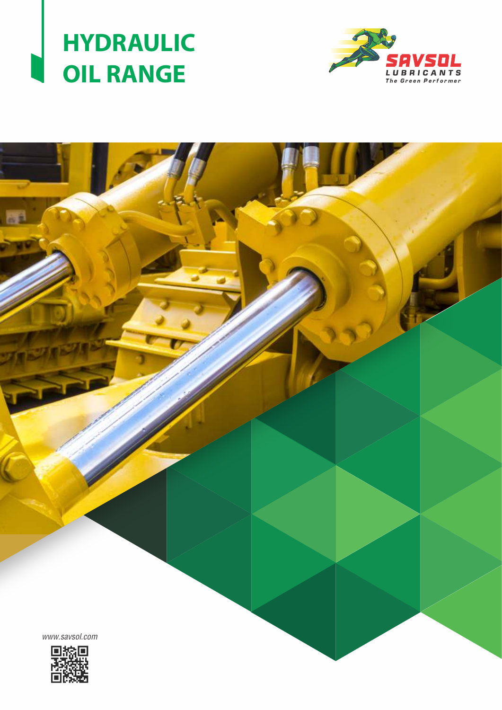# **HYDRAULIC OIL RANGE**



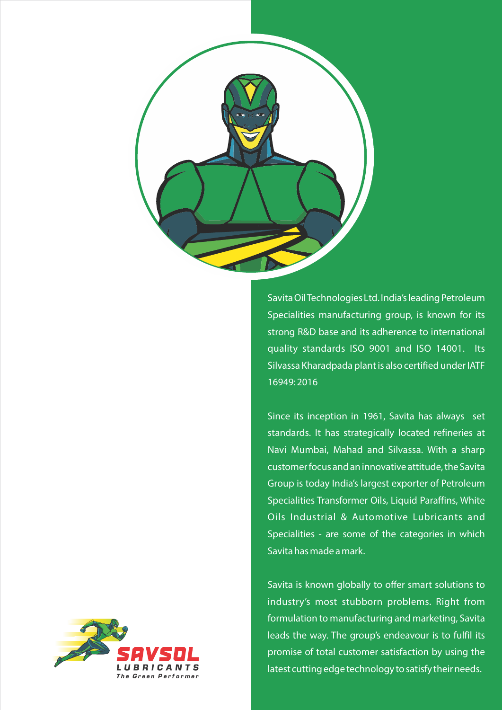

Savita Oil Technologies Ltd. India's leading Petroleum Specialities manufacturing group, is known for its strong R&D base and its adherence to international quality standards ISO 9001 and ISO 14001. Its Silvassa Kharadpada plant is also certified under IATF 16949: 2016

Since its inception in 1961, Savita has always set standards. It has strategically located refineries at Navi Mumbai, Mahad and Silvassa. With a sharp customer focus and an innovative attitude, the Savita Group is today India's largest exporter of Petroleum Specialities Transformer Oils, Liquid Paraffins, White Oils Industrial & Automotive Lubricants and Specialities - are some of the categories in which Savita has made a mark.

Savita is known globally to offer smart solutions to industry's most stubborn problems. Right from formulation to manufacturing and marketing, Savita leads the way. The group's endeavour is to fulfil its promise of total customer satisfaction by using the latest cutting edge technology to satisfy their needs.

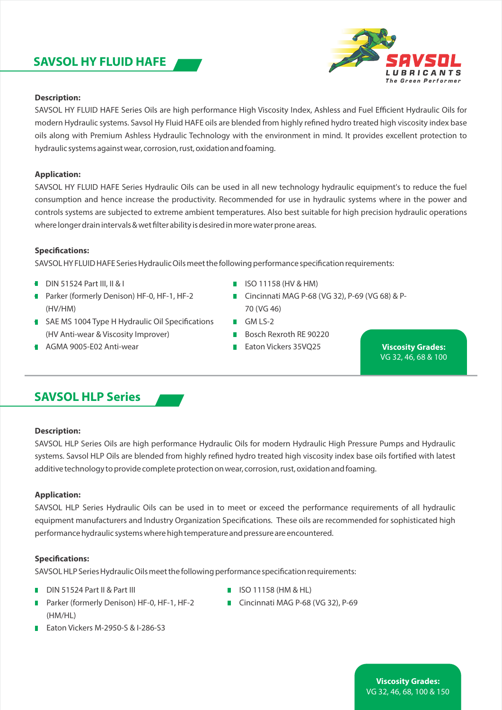## **SAVSOL HY FLUID HAFE**

## **Description:**

SAVSOL HY FLUID HAFE Series Oils are high performance High Viscosity Index, Ashless and Fuel Efficient Hydraulic Oils for modern Hydraulic systems. Savsol Hy Fluid HAFE oils are blended from highly refined hydro treated high viscosity index base oils along with Premium Ashless Hydraulic Technology with the environment in mind. It provides excellent protection to hydraulic systems against wear, corrosion, rust, oxidation and foaming.

## **Application:**

SAVSOL HY FLUID HAFE Series Hydraulic Oils can be used in all new technology hydraulic equipment's to reduce the fuel consumption and hence increase the productivity. Recommended for use in hydraulic systems where in the power and controls systems are subjected to extreme ambient temperatures. Also best suitable for high precision hydraulic operations where longer drain intervals & wet filter ability is desired in more water prone areas.

## **Specifications:**

SAVSOL HY FLUID HAFE Series Hydraulic Oils meet the following performance specification requirements:

- $\blacksquare$  DIN 51524 Part III, II & I
- **E** Parker (formerly Denison) HF-0, HF-1, HF-2 (HV/HM)
- $\blacksquare$  SAE MS 1004 Type H Hydraulic Oil Specifications (HV Anti-wear & Viscosity Improver)
- AGMA 9005-E02 Anti-wear
- $\blacksquare$  ISO 11158 (HV & HM)
- Cincinnati MAG P-68 (VG 32), P-69 (VG 68) & P-70 (VG 46)
- $\blacksquare$  GM LS-2
- Bosch Rexroth RE 90220
- **Eaton Vickers 35VO25**

**Viscosity Grades:**  VG 32, 46, 68 & 100

## **SAVSOL HLP Series**

## **Description:**

SAVSOL HLP Series Oils are high performance Hydraulic Oils for modern Hydraulic High Pressure Pumps and Hydraulic systems. Savsol HLP Oils are blended from highly refined hydro treated high viscosity index base oils fortified with latest additive technology to provide complete protection on wear, corrosion, rust, oxidation and foaming.

## **Application:**

SAVSOL HLP Series Hydraulic Oils can be used in to meet or exceed the performance requirements of all hydraulic equipment manufacturers and Industry Organization Specifications. These oils are recommended for sophisticated high performance hydraulic systems where high temperature and pressure are encountered.

## **Specifications:**

SAVSOL HLP Series Hydraulic Oils meet the following performance specification requirements:

- $\blacksquare$  DIN 51524 Part II & Part III
- **Parker (formerly Denison) HF-0, HF-1, HF-2**  $(HM/HI)$
- Eaton Vickers M-2950-S & I-286-S3
- $\blacksquare$  ISO 11158 (HM & HL)
- $\blacksquare$  Cincinnati MAG P-68 (VG 32), P-69

**Viscosity Grades:**  VG 32, 46, 68, 100 & 150

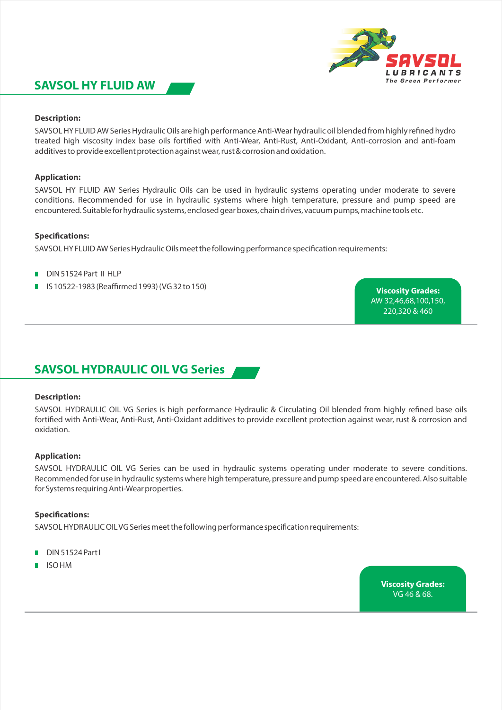

## **SAVSOL HY FLUID AW**

## **Description:**

SAVSOL HY FLUID AW Series Hydraulic Oils are high performance Anti-Wear hydraulic oil blended from highly refined hydro treated high viscosity index base oils fortified with Anti-Wear, Anti-Rust, Anti-Oxidant, Anti-corrosion and anti-foam additives to provide excellent protection against wear, rust & corrosion and oxidation.

## **Application:**

SAVSOL HY FLUID AW Series Hydraulic Oils can be used in hydraulic systems operating under moderate to severe conditions. Recommended for use in hydraulic systems where high temperature, pressure and pump speed are encountered. Suitable for hydraulic systems, enclosed gear boxes, chain drives, vacuum pumps, machine tools etc.

## **Specifications:**

SAVSOL HY FLUID AW Series Hydraulic Oils meet the following performance specification requirements:

- DIN 51524 Part II HLP
- **EXECUTE: 1983 (Reaffirmed 1993) (VG 32 to 150) Manual Contract Contract Contract Contract Contract Contract Contract Contract Contract Contract Contract Contract Contract Contract Contract Contract Contract Contract Contr**

AW 32,46,68,100,150, 220,320 & 460

## **SAVSOL HYDRAULIC OIL VG Series**

#### **Description:**

SAVSOL HYDRAULIC OIL VG Series is high performance Hydraulic & Circulating Oil blended from highly refined base oils fortified with Anti-Wear, Anti-Rust, Anti-Oxidant additives to provide excellent protection against wear, rust & corrosion and oxidation.

#### **Application:**

SAVSOL HYDRAULIC OIL VG Series can be used in hydraulic systems operating under moderate to severe conditions. Recommended for use in hydraulic systems where high temperature, pressure and pump speed are encountered. Also suitable for Systems requiring Anti-Wear properties.

#### **Specifications:**

SAVSOL HYDRAULIC OIL VG Series meet the following performance specification requirements:

- $\blacksquare$  DIN 51524 Part I
- **B** ISO HM

**Viscosity Grades:**  VG 46 & 68.